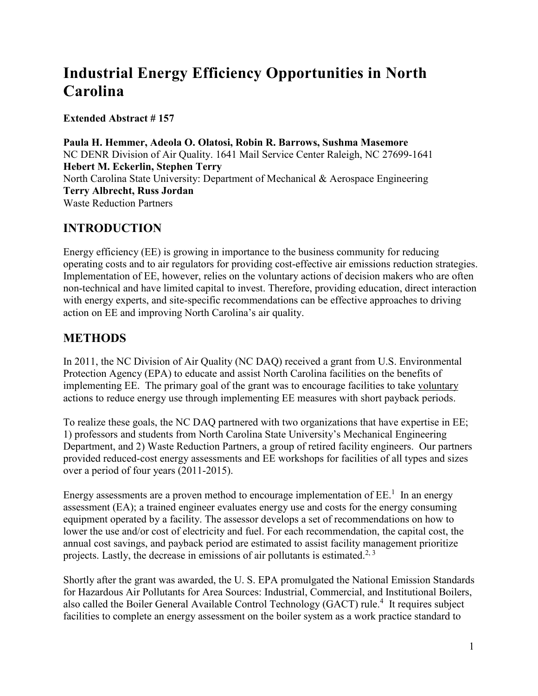# **Industrial Energy Efficiency Opportunities in North Carolina**

**Extended Abstract # 157**

**Paula H. Hemmer, Adeola O. Olatosi, Robin R. Barrows, Sushma Masemore** NC DENR Division of Air Quality. 1641 Mail Service Center Raleigh, NC 27699-1641 **Hebert M. Eckerlin, Stephen Terry** North Carolina State University: Department of Mechanical & Aerospace Engineering **Terry Albrecht, Russ Jordan** Waste Reduction Partners

# **INTRODUCTION**

Energy efficiency (EE) is growing in importance to the business community for reducing operating costs and to air regulators for providing cost-effective air emissions reduction strategies. Implementation of EE, however, relies on the voluntary actions of decision makers who are often non-technical and have limited capital to invest. Therefore, providing education, direct interaction with energy experts, and site-specific recommendations can be effective approaches to driving action on EE and improving North Carolina's air quality.

# **METHODS**

In 2011, the NC Division of Air Quality (NC DAQ) received a grant from U.S. Environmental Protection Agency (EPA) to educate and assist North Carolina facilities on the benefits of implementing EE. The primary goal of the grant was to encourage facilities to take voluntary actions to reduce energy use through implementing EE measures with short payback periods.

To realize these goals, the NC DAQ partnered with two organizations that have expertise in EE; 1) professors and students from North Carolina State University's Mechanical Engineering Department, and 2) Waste Reduction Partners, a group of retired facility engineers. Our partners provided reduced-cost energy assessments and EE workshops for facilities of all types and sizes over a period of four years (2011-2015).

Energy assessments are a proven method to encourage implementation of  $EE<sup>1</sup>$  In an energy assessment (EA); a trained engineer evaluates energy use and costs for the energy consuming equipment operated by a facility. The assessor develops a set of recommendations on how to lower the use and/or cost of electricity and fuel. For each recommendation, the capital cost, the annual cost savings, and payback period are estimated to assist facility management prioritize projects. Lastly, the decrease in emissions of air pollutants is estimated.<sup>2, 3</sup>

Shortly after the grant was awarded, the U. S. EPA promulgated the National Emission Standards for Hazardous Air Pollutants for Area Sources: Industrial, Commercial, and Institutional Boilers, also called the Boiler General Available Control Technology (GACT) rule.<sup>4</sup> It requires subject facilities to complete an energy assessment on the boiler system as a work practice standard to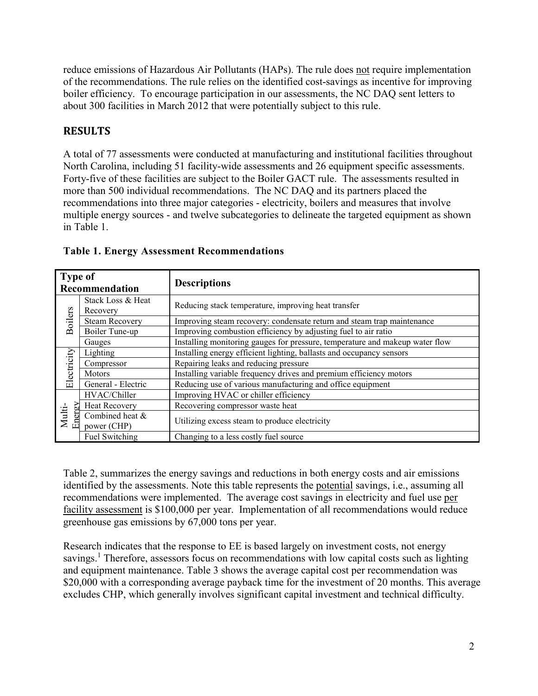reduce emissions of Hazardous Air Pollutants (HAPs). The rule does not require implementation of the recommendations. The rule relies on the identified cost-savings as incentive for improving boiler efficiency. To encourage participation in our assessments, the NC DAQ sent letters to about 300 facilities in March 2012 that were potentially subject to this rule.

### **RESULTS**

A total of 77 assessments were conducted at manufacturing and institutional facilities throughout North Carolina, including 51 facility-wide assessments and 26 equipment specific assessments. Forty-five of these facilities are subject to the Boiler GACT rule. The assessments resulted in more than 500 individual recommendations. The NC DAQ and its partners placed the recommendations into three major categories - electricity, boilers and measures that involve multiple energy sources - and twelve subcategories to delineate the targeted equipment as shown in Table 1.

| <b>Type of</b><br>Recommendation |                                | <b>Descriptions</b>                                                          |  |  |  |  |  |
|----------------------------------|--------------------------------|------------------------------------------------------------------------------|--|--|--|--|--|
|                                  | Stack Loss & Heat<br>Recovery  | Reducing stack temperature, improving heat transfer                          |  |  |  |  |  |
| <b>Boilers</b>                   | <b>Steam Recovery</b>          | Improving steam recovery: condensate return and steam trap maintenance       |  |  |  |  |  |
|                                  | Boiler Tune-up                 | Improving combustion efficiency by adjusting fuel to air ratio               |  |  |  |  |  |
|                                  | Gauges                         | Installing monitoring gauges for pressure, temperature and makeup water flow |  |  |  |  |  |
|                                  | Lighting                       | Installing energy efficient lighting, ballasts and occupancy sensors         |  |  |  |  |  |
| Electricity                      | Compressor                     | Repairing leaks and reducing pressure                                        |  |  |  |  |  |
|                                  | Motors                         | Installing variable frequency drives and premium efficiency motors           |  |  |  |  |  |
|                                  | General - Electric             | Reducing use of various manufacturing and office equipment                   |  |  |  |  |  |
|                                  | HVAC/Chiller                   | Improving HVAC or chiller efficiency                                         |  |  |  |  |  |
| R                                | <b>Heat Recovery</b>           | Recovering compressor waste heat                                             |  |  |  |  |  |
| Multi-<br>Ener                   | Combined heat &<br>power (CHP) | Utilizing excess steam to produce electricity                                |  |  |  |  |  |
|                                  | Fuel Switching                 | Changing to a less costly fuel source                                        |  |  |  |  |  |

**Table 1. Energy Assessment Recommendations**

Table 2, summarizes the energy savings and reductions in both energy costs and air emissions identified by the assessments. Note this table represents the potential savings, i.e., assuming all recommendations were implemented. The average cost savings in electricity and fuel use per facility assessment is \$100,000 per year. Implementation of all recommendations would reduce greenhouse gas emissions by 67,000 tons per year.

Research indicates that the response to EE is based largely on investment costs, not energy savings.<sup>1</sup> Therefore, assessors focus on recommendations with low capital costs such as lighting and equipment maintenance. Table 3 shows the average capital cost per recommendation was \$20,000 with a corresponding average payback time for the investment of 20 months. This average excludes CHP, which generally involves significant capital investment and technical difficulty.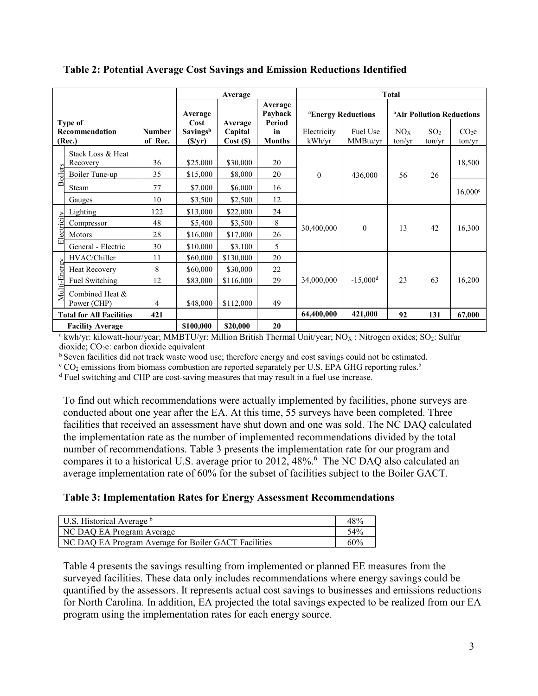|                                                            |                                                                                          |                          | Average                                      |                                                                |                      | <b>Total</b>                   |                      |                                       |                           |                             |
|------------------------------------------------------------|------------------------------------------------------------------------------------------|--------------------------|----------------------------------------------|----------------------------------------------------------------|----------------------|--------------------------------|----------------------|---------------------------------------|---------------------------|-----------------------------|
|                                                            |                                                                                          |                          | Average                                      |                                                                | Average<br>Payback   | <sup>a</sup> Energy Reductions |                      | <sup>a</sup> Air Pollution Reductions |                           |                             |
| Type of<br><b>Recommendation</b><br>(Rec.)                 |                                                                                          | <b>Number</b><br>of Rec. | Cost<br>Savingsb<br>$(\frac{\sqrt{y}}{y})$   | Period<br>Average<br>in<br>Capital<br>Cost(S)<br><b>Months</b> |                      | Electricity<br>kWh/yr          | Fuel Use<br>MMBtu/yr | NOx<br>ton/vr                         | SO <sub>2</sub><br>ton/yr | CO <sub>2</sub> e<br>ton/yr |
| <b>Boilers</b>                                             | Stack Loss & Heat<br>Recovery<br>Boiler Tune-up                                          | 36<br>35                 | \$25,000<br>\$15,000                         | \$30,000<br>\$8,000                                            | 20<br>20             | $\theta$                       | 436,000              | 56                                    | 26                        | 18,500                      |
|                                                            | Steam<br>Gauges                                                                          | 77<br>10                 | \$7,000<br>\$3,500                           | \$6,000<br>\$2,500                                             | 16<br>12             |                                |                      |                                       |                           | $16,000^{\circ}$            |
| Electricity                                                | Lighting<br>Compressor<br>Motors<br>General - Electric                                   | 122<br>48<br>28<br>30    | \$13,000<br>\$5,400<br>\$16,000<br>\$10,000  | \$22,000<br>\$3,500<br>\$17,000<br>\$3,100                     | 24<br>8<br>26<br>5   | 30,400,000                     | $\theta$             | 13                                    | 42                        | 16,300                      |
| Multi-Energy                                               | HVAC/Chiller<br><b>Heat Recovery</b><br>Fuel Switching<br>Combined Heat &<br>Power (CHP) | 11<br>8<br>12<br>4       | \$60,000<br>\$60,000<br>\$83,000<br>\$48,000 | \$130,000<br>\$30,000<br>\$116,000<br>\$112,000                | 20<br>22<br>29<br>49 | 34,000,000                     | $-15,000d$           | 23                                    | 63                        | 16,200                      |
| <b>Total for All Facilities</b><br><b>Facility Average</b> |                                                                                          | 421                      | \$100,000                                    | \$20,000                                                       | 20                   | 64,400,000                     | 421,000              | 92                                    | 131                       | 67,000                      |

**Table 2: Potential Average Cost Savings and Emission Reductions Identified**

<sup>a</sup> kwh/yr: kilowatt-hour/year; MMBTU/yr: Million British Thermal Unit/year; NO<sub>X</sub>: Nitrogen oxides; SO<sub>2</sub>: Sulfur dioxide;  $CO<sub>2</sub>e$ : carbon dioxide equivalent

<sup>b</sup> Seven facilities did not track waste wood use; therefore energy and cost savings could not be estimated.

 $\rm ^c$  CO<sub>2</sub> emissions from biomass combustion are reported separately per U.S. EPA GHG reporting rules.<sup>5</sup>

<sup>d</sup> Fuel switching and CHP are cost-saving measures that may result in a fuel use increase.

To find out which recommendations were actually implemented by facilities, phone surveys are conducted about one year after the EA. At this time, 55 surveys have been completed. Three facilities that received an assessment have shut down and one was sold. The NC DAQ calculated the implementation rate as the number of implemented recommendations divided by the total number of recommendations. Table 3 presents the implementation rate for our program and compares it to a historical U.S. average prior to 2012, 48%.<sup>6</sup> The NC DAQ also calculated an average implementation rate of 60% for the subset of facilities subject to the Boiler GACT.

#### **Table 3: Implementation Rates for Energy Assessment Recommendations**

| U.S. Historical Average <sup>6</sup>                 | 48%             |
|------------------------------------------------------|-----------------|
| NC DAQ EA Program Average                            | 54 <sub>%</sub> |
| NC DAQ EA Program Average for Boiler GACT Facilities | 60%             |

Table 4 presents the savings resulting from implemented or planned EE measures from the surveyed facilities. These data only includes recommendations where energy savings could be quantified by the assessors. It represents actual cost savings to businesses and emissions reductions for North Carolina. In addition, EA projected the total savings expected to be realized from our EA program using the implementation rates for each energy source.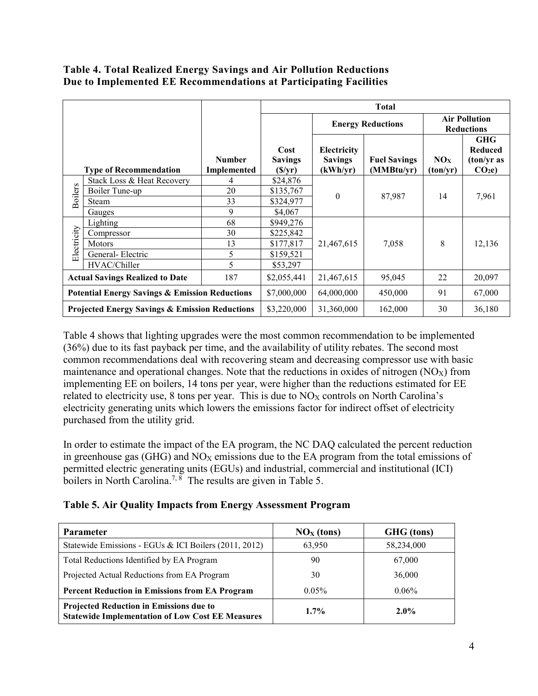#### **Table 4. Total Realized Energy Savings and Air Pollution Reductions Due to Implemented EE Recommendations at Participating Facilities**

| <b>Number</b><br>Implemented<br><b>Type of Recommendation</b> |                            | <b>Total</b> |                                            |                                           |                                   |                                           |                                                                 |  |
|---------------------------------------------------------------|----------------------------|--------------|--------------------------------------------|-------------------------------------------|-----------------------------------|-------------------------------------------|-----------------------------------------------------------------|--|
|                                                               |                            |              |                                            |                                           | <b>Energy Reductions</b>          | <b>Air Pollution</b><br><b>Reductions</b> |                                                                 |  |
|                                                               |                            |              | Cost<br><b>Savings</b><br>$(\frac{S}{yr})$ | Electricity<br><b>Savings</b><br>(kWh/yr) | <b>Fuel Savings</b><br>(MMBtu/yr) | NOx<br>(ton/yr)                           | <b>GHG</b><br><b>Reduced</b><br>(ton/yr as<br>CO <sub>2</sub> e |  |
|                                                               | Stack Loss & Heat Recovery | 4            | \$24,876                                   |                                           | 87,987                            | 14                                        | 7,961                                                           |  |
| <b>Boilers</b>                                                | Boiler Tune-up             | 20           | \$135,767                                  | $\theta$                                  |                                   |                                           |                                                                 |  |
|                                                               | Steam                      | 33           | \$324,977                                  |                                           |                                   |                                           |                                                                 |  |
|                                                               | Gauges                     | 9            | \$4,067                                    |                                           |                                   |                                           |                                                                 |  |
|                                                               | Lighting                   | 68           | \$949,276                                  |                                           | 7,058                             | 8                                         | 12,136                                                          |  |
|                                                               | Compressor                 | 30           | \$225,842                                  |                                           |                                   |                                           |                                                                 |  |
|                                                               | Motors                     | 13           | \$177,817                                  | 21,467,615                                |                                   |                                           |                                                                 |  |
| Electricity                                                   | General-Electric           | 5            | \$159,521                                  |                                           |                                   |                                           |                                                                 |  |
|                                                               | HVAC/Chiller               | 5            | \$53,297                                   |                                           |                                   |                                           |                                                                 |  |
| 187<br><b>Actual Savings Realized to Date</b>                 |                            |              | \$2,055,441                                | 21,467,615                                | 95,045                            | 22                                        | 20,097                                                          |  |
| <b>Potential Energy Savings &amp; Emission Reductions</b>     |                            |              | \$7,000,000                                | 64,000,000                                | 450,000                           | 91                                        | 67,000                                                          |  |
| <b>Projected Energy Savings &amp; Emission Reductions</b>     |                            |              | \$3,220,000                                | 31,360,000                                | 162,000                           | 30                                        | 36,180                                                          |  |

Table 4 shows that lighting upgrades were the most common recommendation to be implemented (36%) due to its fast payback per time, and the availability of utility rebates. The second most common recommendations deal with recovering steam and decreasing compressor use with basic maintenance and operational changes. Note that the reductions in oxides of nitrogen  $(NO<sub>X</sub>)$  from implementing EE on boilers, 14 tons per year, were higher than the reductions estimated for EE related to electricity use,  $8$  tons per year. This is due to  $NO_X$  controls on North Carolina's electricity generating units which lowers the emissions factor for indirect offset of electricity purchased from the utility grid.

In order to estimate the impact of the EA program, the NC DAQ calculated the percent reduction in greenhouse gas (GHG) and  $NO<sub>X</sub>$  emissions due to the EA program from the total emissions of permitted electric generating units (EGUs) and industrial, commercial and institutional (ICI) boilers in North Carolina.<sup>7, 8</sup> The results are given in Table 5.

**Table 5. Air Quality Impacts from Energy Assessment Program**

| <b>Parameter</b>                                                                                          | $\overline{\text{NOx}}$ (tons) | GHG (tons) |  |
|-----------------------------------------------------------------------------------------------------------|--------------------------------|------------|--|
| Statewide Emissions - EGUs & ICI Boilers (2011, 2012)                                                     | 63,950                         | 58,234,000 |  |
| Total Reductions Identified by EA Program                                                                 | 90                             | 67,000     |  |
| Projected Actual Reductions from EA Program                                                               | 30                             | 36,000     |  |
| <b>Percent Reduction in Emissions from EA Program</b>                                                     | $0.05\%$                       | $0.06\%$   |  |
| <b>Projected Reduction in Emissions due to</b><br><b>Statewide Implementation of Low Cost EE Measures</b> | $1.7\%$                        | $2.0\%$    |  |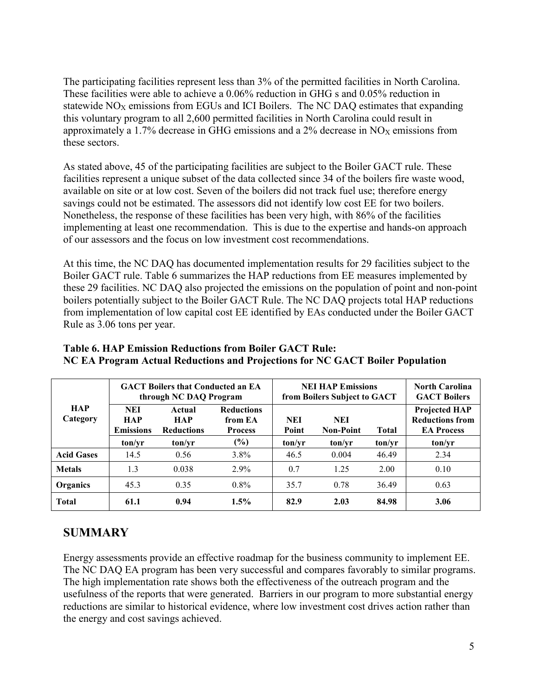The participating facilities represent less than 3% of the permitted facilities in North Carolina. These facilities were able to achieve a 0.06% reduction in GHG s and 0.05% reduction in statewide  $NO<sub>X</sub>$  emissions from EGUs and ICI Boilers. The NC DAQ estimates that expanding this voluntary program to all 2,600 permitted facilities in North Carolina could result in approximately a 1.7% decrease in GHG emissions and a  $2%$  decrease in NO<sub>X</sub> emissions from these sectors.

As stated above, 45 of the participating facilities are subject to the Boiler GACT rule. These facilities represent a unique subset of the data collected since 34 of the boilers fire waste wood, available on site or at low cost. Seven of the boilers did not track fuel use; therefore energy savings could not be estimated. The assessors did not identify low cost EE for two boilers. Nonetheless, the response of these facilities has been very high, with 86% of the facilities implementing at least one recommendation. This is due to the expertise and hands-on approach of our assessors and the focus on low investment cost recommendations.

At this time, the NC DAQ has documented implementation results for 29 facilities subject to the Boiler GACT rule. Table 6 summarizes the HAP reductions from EE measures implemented by these 29 facilities. NC DAQ also projected the emissions on the population of point and non-point boilers potentially subject to the Boiler GACT Rule. The NC DAQ projects total HAP reductions from implementation of low capital cost EE identified by EAs conducted under the Boiler GACT Rule as 3.06 tons per year.

|                        | <b>GACT Boilers that Conducted an EA</b><br>through NC DAQ Program |                                           |                                                |              | <b>NEI HAP Emissions</b><br>from Boilers Subject to GACT | <b>North Carolina</b><br><b>GACT Boilers</b> |                                                                     |
|------------------------|--------------------------------------------------------------------|-------------------------------------------|------------------------------------------------|--------------|----------------------------------------------------------|----------------------------------------------|---------------------------------------------------------------------|
| <b>HAP</b><br>Category | <b>NEI</b><br><b>HAP</b><br><b>Emissions</b>                       | Actual<br><b>HAP</b><br><b>Reductions</b> | <b>Reductions</b><br>from EA<br><b>Process</b> | NEI<br>Point | <b>NEI</b><br><b>Non-Point</b>                           | <b>Total</b>                                 | <b>Projected HAP</b><br><b>Reductions from</b><br><b>EA Process</b> |
|                        | ton/vr                                                             | ton/vr                                    | $(\%)$                                         | ton/vr       | ton/vr                                                   | ton/vr                                       | ton/vr                                                              |
| <b>Acid Gases</b>      | 14.5                                                               | 0.56                                      | 3.8%                                           | 46.5         | 0.004                                                    | 46.49                                        | 2.34                                                                |
| <b>Metals</b>          | 1.3                                                                | 0.038                                     | $2.9\%$                                        | 0.7          | 1.25                                                     | 2.00                                         | 0.10                                                                |
| Organics               | 45.3                                                               | 0.35                                      | $0.8\%$                                        | 35.7         | 0.78                                                     | 36.49                                        | 0.63                                                                |
| <b>Total</b>           | 61.1                                                               | 0.94                                      | $1.5\%$                                        | 82.9         | 2.03                                                     | 84.98                                        | 3.06                                                                |

**Table 6. HAP Emission Reductions from Boiler GACT Rule: NC EA Program Actual Reductions and Projections for NC GACT Boiler Population** 

# **SUMMARY**

Energy assessments provide an effective roadmap for the business community to implement EE. The NC DAQ EA program has been very successful and compares favorably to similar programs. The high implementation rate shows both the effectiveness of the outreach program and the usefulness of the reports that were generated. Barriers in our program to more substantial energy reductions are similar to historical evidence, where low investment cost drives action rather than the energy and cost savings achieved.